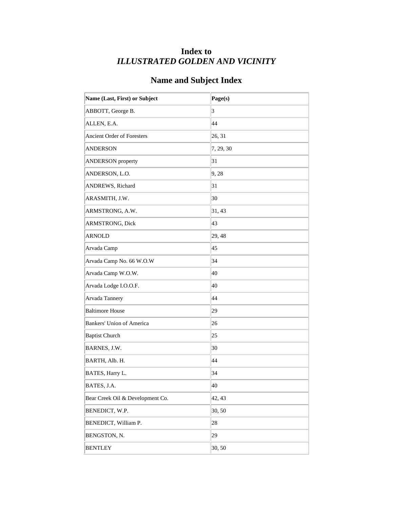## **Index to** *ILLUSTRATED GOLDEN AND VICINITY*

## **Name and Subject Index**

| Name (Last, First) or Subject    | Page(s)   |
|----------------------------------|-----------|
| ABBOTT, George B.                | 3         |
| ALLEN, E.A.                      | 44        |
| Ancient Order of Foresters       | 26, 31    |
| <b>ANDERSON</b>                  | 7, 29, 30 |
| <b>ANDERSON</b> property         | 31        |
| ANDERSON, L.O.                   | 9, 28     |
| ANDREWS, Richard                 | 31        |
| ARASMITH, J.W.                   | 30        |
| ARMSTRONG, A.W.                  | 31, 43    |
| ARMSTRONG, Dick                  | 43        |
| <b>ARNOLD</b>                    | 29, 48    |
| Arvada Camp                      | 45        |
| Arvada Camp No. 66 W.O.W         | 34        |
| Arvada Camp W.O.W.               | 40        |
| Arvada Lodge I.O.O.F.            | 40        |
| Arvada Tannery                   | 44        |
| <b>Baltimore House</b>           | 29        |
| <b>Bankers' Union of America</b> | 26        |
| <b>Baptist Church</b>            | 25        |
| BARNES, J.W.                     | 30        |
| BARTH, Alb. H.                   | 44        |
| BATES, Harry L.                  | 34        |
| BATES, J.A.                      | 40        |
| Bear Creek Oil & Development Co. | 42, 43    |
| BENEDICT, W.P.                   | 30,50     |
| BENEDICT, William P.             | 28        |
| BENGSTON, N.                     | 29        |
| <b>BENTLEY</b>                   | 30,50     |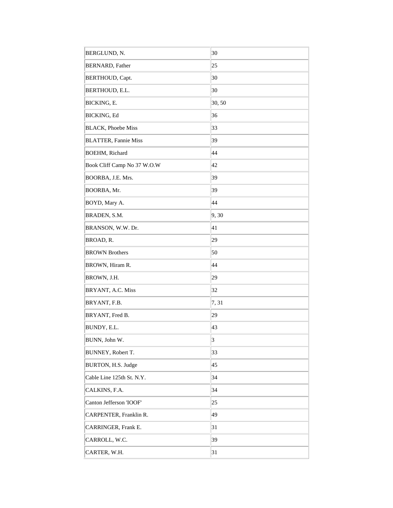| BERGLUND, N.                | 30                      |
|-----------------------------|-------------------------|
| <b>BERNARD</b> , Father     | 25                      |
| <b>BERTHOUD, Capt.</b>      | 30                      |
| BERTHOUD, E.L.              | 30                      |
| BICKING, E.                 | 30, 50                  |
| <b>BICKING, Ed</b>          | 36                      |
| <b>BLACK</b> , Phoebe Miss  | 33                      |
| <b>BLATTER, Fannie Miss</b> | 39                      |
| <b>BOEHM, Richard</b>       | 44                      |
| Book Cliff Camp No 37 W.O.W | 42                      |
| BOORBA, J.E. Mrs.           | 39                      |
| BOORBA, Mr.                 | 39                      |
| BOYD, Mary A.               | 44                      |
| BRADEN, S.M.                | 9,30                    |
| BRANSON, W.W. Dr.           | 41                      |
| BROAD, R.                   | 29                      |
| <b>BROWN Brothers</b>       | 50                      |
| BROWN, Hiram R.             | 44                      |
| BROWN, J.H.                 | 29                      |
| BRYANT, A.C. Miss           | 32                      |
| BRYANT, F.B.                | 7,31                    |
| BRYANT, Fred B.             | 29                      |
| BUNDY, E.L.                 | 43                      |
| BUNN, John W.               | $\overline{\mathbf{3}}$ |
| BUNNEY, Robert T.           | 33                      |
| BURTON, H.S. Judge          | 45                      |
| Cable Line 125th St. N.Y.   | 34                      |
| CALKINS, F.A.               | 34                      |
| Canton Jefferson 'IOOF'     | 25                      |
| CARPENTER, Franklin R.      | 49                      |
| CARRINGER, Frank E.         | 31                      |
| CARROLL, W.C.               | 39                      |
| CARTER, W.H.                | 31                      |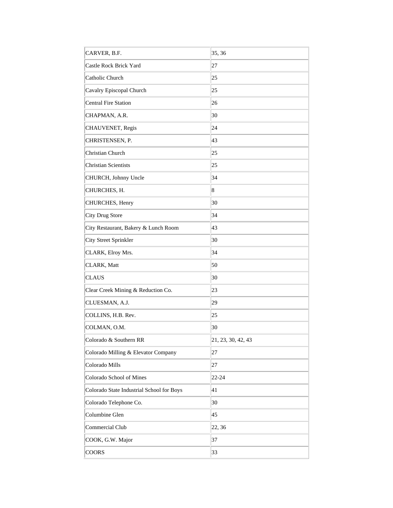| CARVER, B.F.                              | 35, 36             |
|-------------------------------------------|--------------------|
| Castle Rock Brick Yard                    | 27                 |
| Catholic Church                           | 25                 |
| Cavalry Episcopal Church                  | 25                 |
| <b>Central Fire Station</b>               | 26                 |
| CHAPMAN, A.R.                             | 30                 |
| CHAUVENET, Regis                          | 24                 |
| CHRISTENSEN, P.                           | 43                 |
| Christian Church                          | 25                 |
| <b>Christian Scientists</b>               | 25                 |
| CHURCH, Johnny Uncle                      | 34                 |
| CHURCHES, H.                              | 8                  |
| CHURCHES, Henry                           | 30                 |
| City Drug Store                           | 34                 |
| City Restaurant, Bakery & Lunch Room      | 43                 |
| <b>City Street Sprinkler</b>              | 30                 |
| CLARK, Elroy Mrs.                         | 34                 |
| CLARK, Matt                               | 50                 |
| <b>CLAUS</b>                              | 30                 |
| Clear Creek Mining & Reduction Co.        | 23                 |
| CLUESMAN, A.J.                            | 29                 |
| COLLINS, H.B. Rev.                        | 25                 |
| COLMAN, O.M.                              | 30                 |
| Colorado & Southern RR                    | 21, 23, 30, 42, 43 |
| Colorado Milling & Elevator Company       | 27                 |
| Colorado Mills                            | 27                 |
| Colorado School of Mines                  | $22 - 24$          |
| Colorado State Industrial School for Boys | 41                 |
| Colorado Telephone Co.                    | 30                 |
| Columbine Glen                            | 45                 |
| Commercial Club                           | 22, 36             |
| COOK, G.W. Major                          | 37                 |
| COORS                                     | 33                 |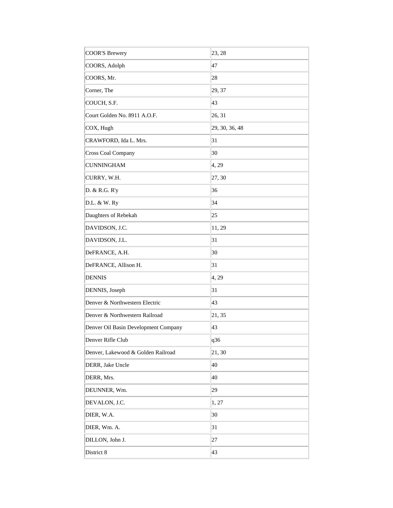| <b>COOR'S Brewery</b>                | 23, 28         |
|--------------------------------------|----------------|
| COORS, Adolph                        | 47             |
| COORS, Mr.                           | 28             |
| Corner, The                          | 29, 37         |
| COUCH, S.F.                          | 43             |
| Court Golden No. 8911 A.O.F.         | 26, 31         |
| COX, Hugh                            | 29, 30, 36, 48 |
| CRAWFORD, Ida L. Mrs.                | 31             |
| Cross Coal Company                   | 30             |
| <b>CUNNINGHAM</b>                    | 4, 29          |
| CURRY, W.H.                          | 27,30          |
| D. & R.G. R'y                        | 36             |
| D.L. & W. Ry                         | 34             |
| Daughters of Rebekah                 | 25             |
| DAVIDSON, J.C.                       | 11, 29         |
| DAVIDSON, J.L.                       | 31             |
| DeFRANCE, A.H.                       | 30             |
| DeFRANCE, Allison H.                 | 31             |
| <b>DENNIS</b>                        | 4, 29          |
| DENNIS, Joseph                       | 31             |
| Denver & Northwestern Electric       | 43             |
| Denver & Northwestern Railroad       | 21, 35         |
| Denver Oil Basin Development Company | 43             |
| Denver Rifle Club                    | q36            |
| Denver, Lakewood & Golden Railroad   | 21,30          |
| DERR, Jake Uncle                     | 40             |
| DERR, Mrs.                           | 40             |
| DEUNNER, Wm.                         | 29             |
| DEVALON, J.C.                        | 1, 27          |
| DIER, W.A.                           | 30             |
| DIER, Wm. A.                         | 31             |
| DILLON, John J.                      | 27             |
| District 8                           | 43             |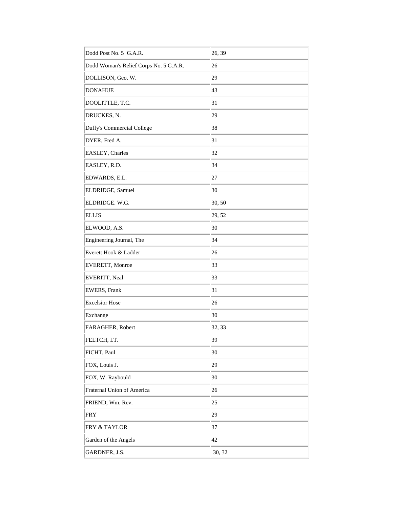| Dodd Post No. 5 G.A.R.                 | 26, 39 |
|----------------------------------------|--------|
| Dodd Woman's Relief Corps No. 5 G.A.R. | 26     |
| DOLLISON, Geo. W.                      | 29     |
| <b>DONAHUE</b>                         | 43     |
| DOOLITTLE, T.C.                        | 31     |
| DRUCKES, N.                            | 29     |
| Duffy's Commercial College             | 38     |
| DYER, Fred A.                          | 31     |
| EASLEY, Charles                        | 32     |
| EASLEY, R.D.                           | 34     |
| EDWARDS, E.L.                          | 27     |
| ELDRIDGE, Samuel                       | 30     |
| ELDRIDGE. W.G.                         | 30, 50 |
| <b>ELLIS</b>                           | 29, 52 |
| ELWOOD, A.S.                           | 30     |
| Engineering Journal, The               | 34     |
| Everett Hook & Ladder                  | 26     |
| EVERETT, Monroe                        | 33     |
| EVERITT, Neal                          | 33     |
| <b>EWERS</b> , Frank                   | 31     |
| <b>Excelsior Hose</b>                  | 26     |
| Exchange                               | 30     |
| FARAGHER, Robert                       | 32, 33 |
| FELTCH, I.T.                           | 39     |
| FICHT, Paul                            | 30     |
| FOX, Louis J.                          | 29     |
| FOX, W. Raybould                       | 30     |
| Fraternal Union of America             | 26     |
| FRIEND, Wm. Rev.                       | 25     |
| <b>FRY</b>                             | 29     |
| <b>FRY &amp; TAYLOR</b>                | 37     |
| Garden of the Angels                   | 42     |
| GARDNER, J.S.                          | 30, 32 |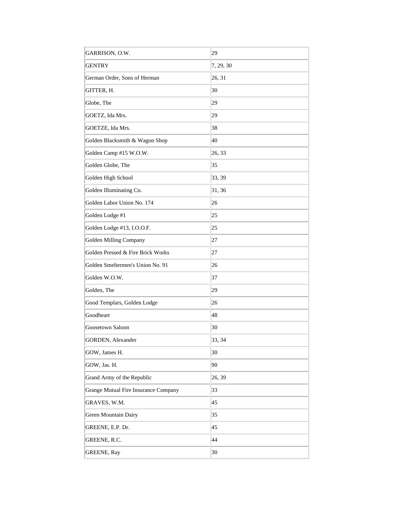| GARRISON, O.W.                       | 29        |
|--------------------------------------|-----------|
| <b>GENTRY</b>                        | 7, 29, 30 |
| German Order, Sons of Herman         | 26, 31    |
| GITTER, H.                           | 30        |
| Globe, The                           | 29        |
| GOETZ, Ida Mrs.                      | 29        |
| GOETZE, Ida Mrs.                     | 38        |
| Golden Blacksmith & Wagon Shop       | 40        |
| Golden Camp #15 W.O.W.               | 26, 33    |
| Golden Globe, The                    | 35        |
| Golden High School                   | 33, 39    |
| Golden Illuminating Co.              | 31, 36    |
| Golden Labor Union No. 174           | 26        |
| Golden Lodge #1                      | 25        |
| Golden Lodge #13, I.O.O.F.           | 25        |
| Golden Milling Company               | 27        |
| Golden Pressed & Fire Brick Works    | 27        |
| Golden Smeltermen's Union No. 91     | 26        |
| Golden W.O.W.                        | 37        |
| Golden, The                          | 29        |
| Good Templars, Golden Lodge          | 26        |
| Goodheart                            | 48        |
| Goosetown Saloon                     | 30        |
| GORDEN, Alexander                    | 33, 34    |
| GOW, James H.                        | 30        |
| GOW, Jas. H.                         | 90        |
| Grand Army of the Republic           | 26, 39    |
| Grange Mutual Fire Insurance Company | 33        |
| GRAVES, W.M.                         | 45        |
| Green Mountain Dairy                 | 35        |
| GREENE, E.P. Dr.                     | 45        |
| GREENE, R.C.                         | 44        |
| <b>GREENE, Ray</b>                   | 30        |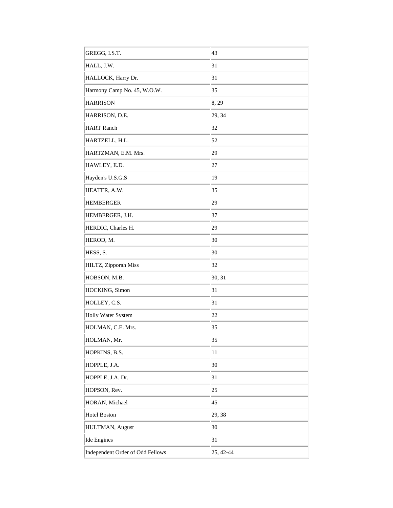| GREGG, I.S.T.                    | 43        |
|----------------------------------|-----------|
| HALL, J.W.                       | 31        |
| HALLOCK, Harry Dr.               | 31        |
| Harmony Camp No. 45, W.O.W.      | 35        |
| <b>HARRISON</b>                  | 8, 29     |
| HARRISON, D.E.                   | 29, 34    |
| <b>HART</b> Ranch                | 32        |
| HARTZELL, H.L.                   | 52        |
| HARTZMAN, E.M. Mrs.              | 29        |
| HAWLEY, E.D.                     | 27        |
| Hayden's U.S.G.S                 | 19        |
| HEATER, A.W.                     | 35        |
| <b>HEMBERGER</b>                 | 29        |
| HEMBERGER, J.H.                  | 37        |
| HERDIC, Charles H.               | 29        |
| HEROD, M.                        | 30        |
| HESS, S.                         | 30        |
| HILTZ, Zipporah Miss             | 32        |
| HOBSON, M.B.                     | 30, 31    |
| HOCKING, Simon                   | 31        |
| HOLLEY, C.S.                     | 31        |
| Holly Water System               | 22        |
| HOLMAN, C.E. Mrs.                | 35        |
| HOLMAN, Mr.                      | 35        |
| HOPKINS, B.S.                    | 11        |
| HOPPLE, J.A.                     | 30        |
| HOPPLE, J.A. Dr.                 | 31        |
| HOPSON, Rev.                     | 25        |
| HORAN, Michael                   | 45        |
| <b>Hotel Boston</b>              | 29, 38    |
| HULTMAN, August                  | 30        |
| <b>Ide Engines</b>               | 31        |
| Independent Order of Odd Fellows | 25, 42-44 |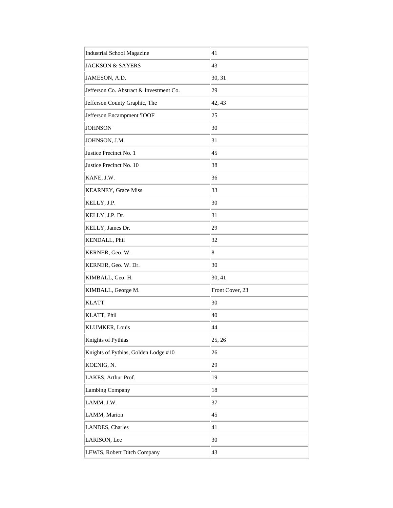| Industrial School Magazine              | 41              |
|-----------------------------------------|-----------------|
| <b>JACKSON &amp; SAYERS</b>             | 43              |
| JAMESON, A.D.                           | 30, 31          |
| Jefferson Co. Abstract & Investment Co. | 29              |
| Jefferson County Graphic, The           | 42, 43          |
| Jefferson Encampment 'IOOF'             | 25              |
| <b>JOHNSON</b>                          | 30              |
| JOHNSON, J.M.                           | 31              |
| Justice Precinct No. 1                  | 45              |
| Justice Precinct No. 10                 | 38              |
| KANE, J.W.                              | 36              |
| KEARNEY, Grace Miss                     | 33              |
| KELLY, J.P.                             | 30              |
| KELLY, J.P. Dr.                         | 31              |
| KELLY, James Dr.                        | 29              |
| KENDALL, Phil                           | 32              |
| KERNER, Geo. W.                         | 8               |
| KERNER, Geo. W. Dr.                     | 30              |
| KIMBALL, Geo. H.                        | 30, 41          |
| KIMBALL, George M.                      | Front Cover, 23 |
| <b>KLATT</b>                            | 30              |
| KLATT, Phil                             | 40              |
| <b>KLUMKER, Louis</b>                   | 44              |
| Knights of Pythias                      | 25, 26          |
| Knights of Pythias, Golden Lodge #10    | 26              |
| KOENIG, N.                              | 29              |
| LAKES, Arthur Prof.                     | 19              |
| <b>Lambing Company</b>                  | 18              |
| LAMM, J.W.                              | 37              |
| LAMM, Marion                            | 45              |
| LANDES, Charles                         | 41              |
| LARISON, Lee                            | 30              |
|                                         |                 |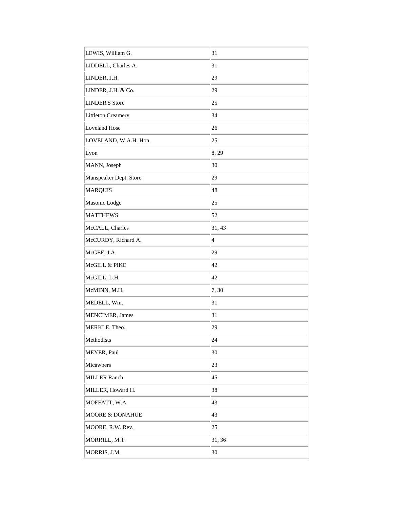| LEWIS, William G.          | 31              |
|----------------------------|-----------------|
| LIDDELL, Charles A.        | 31              |
| LINDER, J.H.               | 29              |
| LINDER, J.H. & Co.         | 29              |
| LINDER'S Store             | 25              |
| Littleton Creamery         | 34              |
| Loveland Hose              | 26              |
| LOVELAND, W.A.H. Hon.      | 25              |
| Lyon                       | 8, 29           |
| MANN, Joseph               | 30              |
| Manspeaker Dept. Store     | 29              |
| <b>MARQUIS</b>             | 48              |
| Masonic Lodge              | 25              |
| <b>MATTHEWS</b>            | 52              |
| McCALL, Charles            | 31, 43          |
| McCURDY, Richard A.        | $\vert 4 \vert$ |
| McGEE, J.A.                | 29              |
| McGILL & PIKE              | 42              |
| McGILL, L.H.               | 42              |
| McMINN, M.H.               | 7,30            |
| MEDELL, Wm.                | 31              |
| MENCIMER, James            | 31              |
| MERKLE, Theo.              | 29              |
| Methodists                 | 24              |
| MEYER, Paul                | 30              |
| Micawbers                  | 23              |
| <b>MILLER Ranch</b>        | 45              |
| MILLER, Howard H.          | 38              |
| MOFFATT, W.A.              | 43              |
| <b>MOORE &amp; DONAHUE</b> | 43              |
| MOORE, R.W. Rev.           | 25              |
| MORRILL, M.T.              | 31, 36          |
| MORRIS, J.M.               | 30              |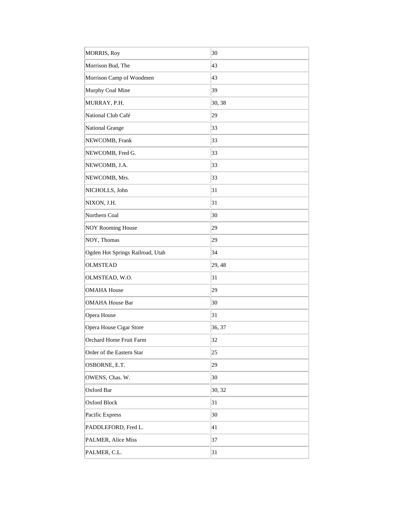| MORRIS, Roy                      | 30     |
|----------------------------------|--------|
| Morrison Bud, The                | 43     |
| Morrison Camp of Woodmen         | 43     |
| Murphy Coal Mine                 | 39     |
| MURRAY, P.H.                     | 30, 38 |
| National Club Café               | 29     |
| National Grange                  | 33     |
| NEWCOMB, Frank                   | 33     |
| NEWCOMB, Fred G.                 | 33     |
| NEWCOMB, J.A.                    | 33     |
| NEWCOMB, Mrs.                    | 33     |
| NICHOLLS, John                   | 31     |
| NIXON, J.H.                      | 31     |
| Northern Coal                    | 30     |
| <b>NOY Rooming House</b>         | 29     |
| NOY, Thomas                      | 29     |
| Ogden Hot Springs Railroad, Utah | 34     |
| <b>OLMSTEAD</b>                  | 29,48  |
| OLMSTEAD, W.O.                   | 31     |
| <b>OMAHA House</b>               | 29     |
| <b>OMAHA House Bar</b>           | 30     |
| Opera House                      | 31     |
| Opera House Cigar Store          | 36, 37 |
| Orchard Home Fruit Farm          | 32     |
| Order of the Eastern Star        | 25     |
| OSBORNE, E.T.                    | 29     |
| OWENS, Chas. W.                  | 30     |
| Oxford Bar                       | 30, 32 |
| Oxford Block                     | 31     |
| Pacific Express                  | 30     |
| PADDLEFORD, Fred L.              | 41     |
| PALMER, Alice Miss               | 37     |
| PALMER, C.L.                     | 31     |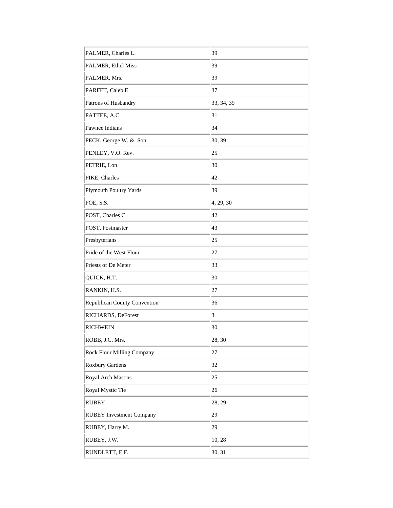| PALMER, Charles L.              | 39         |
|---------------------------------|------------|
| PALMER, Ethel Miss              | 39         |
| PALMER, Mrs.                    | 39         |
| PARFET, Caleb E.                | 37         |
| Patrons of Husbandry            | 33, 34, 39 |
| PATTEE, A.C.                    | 31         |
| Pawnee Indians                  | 34         |
| PECK, George W. & Son           | 30, 39     |
| PENLEY, V.O. Rev.               | 25         |
| PETRIE, Lon                     | 30         |
| PIKE, Charles                   | 42         |
| Plymouth Poultry Yards          | 39         |
| POE, S.S.                       | 4, 29, 30  |
| POST, Charles C.                | 42         |
| POST, Postmaster                | 43         |
| Presbyterians                   | 25         |
| Pride of the West Flour         | 27         |
| Priests of De Meter             | 33         |
| QUICK, H.T.                     | 30         |
| RANKIN, H.S.                    | 27         |
| Republican County Convention    | 36         |
| RICHARDS, DeForest              | $\vert$ 3  |
| <b>RICHWEIN</b>                 | 30         |
| ROBB, J.C. Mrs.                 | 28, 30     |
| Rock Flour Milling Company      | 27         |
| Roxbury Gardens                 | 32         |
| Royal Arch Masons               | 25         |
| Royal Mystic Tie                | 26         |
| <b>RUBEY</b>                    | 28, 29     |
| <b>RUBEY Investment Company</b> | 29         |
| RUBEY, Harry M.                 | 29         |
| RUBEY, J.W.                     | 10,28      |
| RUNDLETT, E.F.                  | 30, 31     |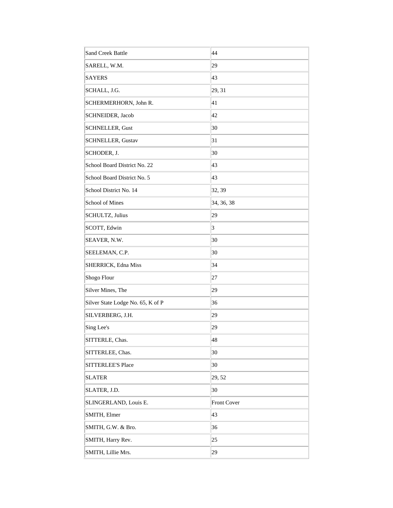| <b>Sand Creek Battle</b>          | 44                 |
|-----------------------------------|--------------------|
| SARELL, W.M.                      | 29                 |
| <b>SAYERS</b>                     | 43                 |
| SCHALL, J.G.                      | 29, 31             |
| SCHERMERHORN, John R.             | 41                 |
| SCHNEIDER, Jacob                  | 42                 |
| <b>SCHNELLER, Gust</b>            | 30                 |
| <b>SCHNELLER, Gustav</b>          | 31                 |
| SCHODER, J.                       | 30                 |
| School Board District No. 22      | 43                 |
| School Board District No. 5       | 43                 |
| School District No. 14            | 32, 39             |
| School of Mines                   | 34, 36, 38         |
| SCHULTZ, Julius                   | 29                 |
| SCOTT, Edwin                      | 3                  |
| SEAVER, N.W.                      | 30                 |
| SEELEMAN, C.P.                    | 30                 |
| SHERRICK, Edna Miss               | 34                 |
| Shogo Flour                       | 27                 |
| Silver Mines, The                 | 29                 |
| Silver State Lodge No. 65, K of P | 36                 |
| SILVERBERG, J.H.                  | 29                 |
| Sing Lee's                        | 29                 |
| SITTERLE, Chas.                   | 48                 |
| SITTERLEE, Chas.                  | 30                 |
| <b>SITTERLEE'S Place</b>          | 30                 |
| <b>SLATER</b>                     | 29, 52             |
| SLATER, J.D.                      | 30                 |
| SLINGERLAND, Louis E.             | <b>Front Cover</b> |
| SMITH, Elmer                      | 43                 |
| SMITH, G.W. & Bro.                | 36                 |
| SMITH, Harry Rev.                 | 25                 |
| SMITH, Lillie Mrs.                | 29                 |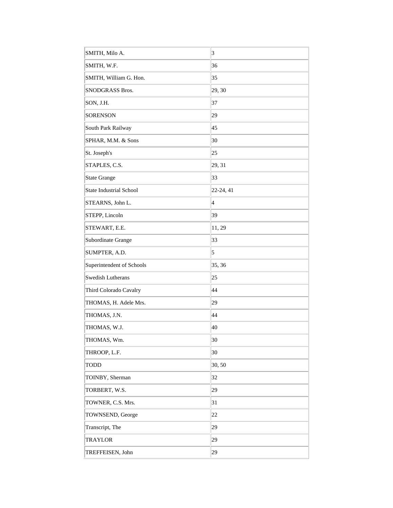| SMITH, Milo A.            | $\overline{3}$           |
|---------------------------|--------------------------|
| SMITH, W.F.               | 36                       |
| SMITH, William G. Hon.    | 35                       |
| <b>SNODGRASS Bros.</b>    | 29, 30                   |
| SON, J.H.                 | 37                       |
| <b>SORENSON</b>           | 29                       |
| South Park Railway        | 45                       |
| SPHAR, M.M. & Sons        | 30                       |
| St. Joseph's              | 25                       |
| STAPLES, C.S.             | 29, 31                   |
| State Grange              | 33                       |
| State Industrial School   | 22-24, 41                |
| STEARNS, John L.          | $\overline{\mathcal{A}}$ |
| STEPP, Lincoln            | 39                       |
| STEWART, E.E.             | 11, 29                   |
| Subordinate Grange        | 33                       |
| SUMPTER, A.D.             | 5                        |
| Superintendent of Schools | 35, 36                   |
| Swedish Lutherans         | 25                       |
| Third Colorado Cavalry    | 44                       |
| THOMAS, H. Adele Mrs.     | 29                       |
| THOMAS, J.N.              | 44                       |
| THOMAS, W.J.              | 40                       |
| THOMAS, Wm.               | 30                       |
| THROOP, L.F.              | 30                       |
| <b>TODD</b>               | 30, 50                   |
| TOINBY, Sherman           | 32                       |
| TORBERT, W.S.             | 29                       |
| TOWNER, C.S. Mrs.         | 31                       |
| TOWNSEND, George          | 22                       |
| Transcript, The           | 29                       |
| TRAYLOR                   | 29                       |
| TREFFEISEN, John          | 29                       |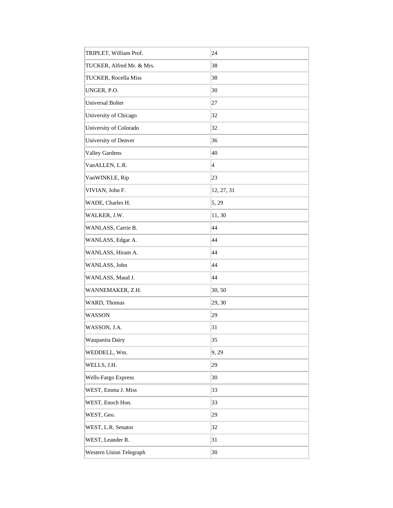| TRIPLET, William Prof.       | 24                      |
|------------------------------|-------------------------|
| TUCKER, Alfred Mr. & Mrs.    | 38                      |
| <b>TUCKER</b> , Rocella Miss | 38                      |
| UNGER, P.O.                  | 30                      |
| Universal Bolter             | 27                      |
| University of Chicago        | 32                      |
| University of Colorado       | 32                      |
| University of Denver         | 36                      |
| <b>Valley Gardens</b>        | 40                      |
| VanALLEN, L.R.               | $\overline{\mathbf{4}}$ |
| VanWINKLE, Rip               | 23                      |
| VIVIAN, John F.              | 12, 27, 31              |
| WADE, Charles H.             | 5, 29                   |
| WALKER, J.W.                 | 11,30                   |
| WANLASS, Carrie B.           | 44                      |
| WANLASS, Edgar A.            | 44                      |
| WANLASS, Hiram A.            | 44                      |
| WANLASS, John                | 44                      |
| WANLASS, Maud J.             | 44                      |
| WANNEMAKER, Z.H.             | 30, 50                  |
| WARD, Thomas                 | 29, 30                  |
| <b>WASSON</b>                | 29                      |
| WASSON, J.A.                 | 31                      |
| Waupanita Dairy              | 35                      |
| WEDDELL, Wm.                 | 9, 29                   |
| WELLS, J.H.                  | 29                      |
| Wells-Fargo Express          | 30                      |
| WEST, Emma J. Miss           | 33                      |
| WEST, Enoch Hon.             | 33                      |
| WEST, Geo.                   | 29                      |
| WEST, L.R. Senator           | 32                      |
| WEST, Leander R.             | 31                      |
| Western Union Telegraph      | 30                      |